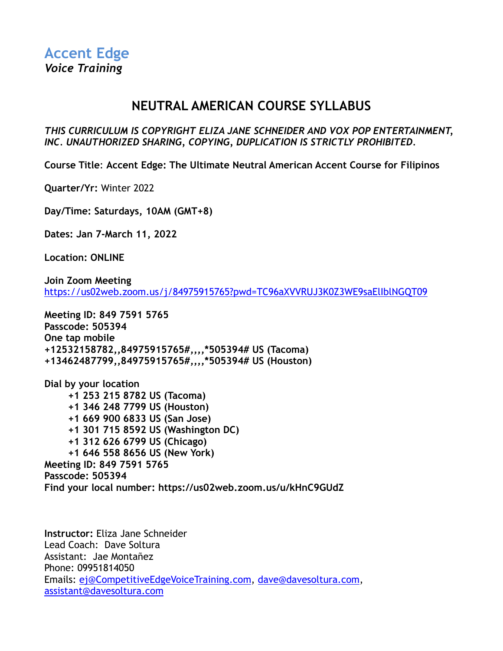# **NEUTRAL AMERICAN COURSE SYLLABUS**

*THIS CURRICULUM IS COPYRIGHT ELIZA JANE SCHNEIDER AND VOX POP ENTERTAINMENT, INC. UNAUTHORIZED SHARING, COPYING, DUPLICATION IS STRICTLY PROHIBITED.*

**Course Title**: **Accent Edge: The Ultimate Neutral American Accent Course for Filipinos**

**Quarter/Yr:** Winter 2022

**Day/Time: Saturdays, 10AM (GMT+8)**

**Dates: Jan 7-March 11, 2022**

**Location: ONLINE**

**Join Zoom Meeting** <https://us02web.zoom.us/j/84975915765?pwd=TC96aXVVRUJ3K0Z3WE9saElIblNGQT09>

**Meeting ID: 849 7591 5765 Passcode: 505394 One tap mobile +12532158782,,84975915765#,,,,\*505394# US (Tacoma) +13462487799,,84975915765#,,,,\*505394# US (Houston)**

**Dial by your location +1 253 215 8782 US (Tacoma) +1 346 248 7799 US (Houston) +1 669 900 6833 US (San Jose) +1 301 715 8592 US (Washington DC) +1 312 626 6799 US (Chicago) +1 646 558 8656 US (New York) Meeting ID: 849 7591 5765 Passcode: 505394 Find your local number: https://us02web.zoom.us/u/kHnC9GUdZ**

**Instructor:** Eliza Jane Schneider Lead Coach: Dave Soltura Assistant: Jae Montañez Phone: 09951814050 Emails: [ej@CompetitiveEdgeVoiceTraining.com,](mailto:ej@CompetitiveEdgeVoiceTraining.com) [dave@davesoltura.com,](mailto:dave@davesoltura.com) [assistant@davesoltura.com](mailto:assistant@davesoltura.com)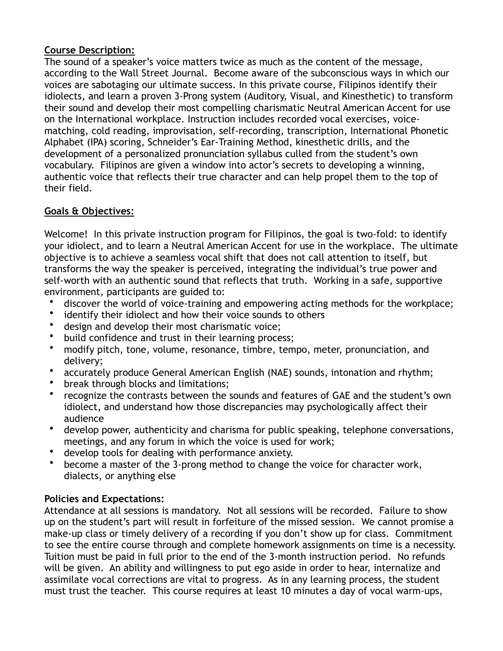### **Course Description:**

The sound of a speaker's voice matters twice as much as the content of the message, according to the Wall Street Journal. Become aware of the subconscious ways in which our voices are sabotaging our ultimate success. In this private course, Filipinos identify their idiolects, and learn a proven 3-Prong system (Auditory, Visual, and Kinesthetic) to transform their sound and develop their most compelling charismatic Neutral American Accent for use on the International workplace. Instruction includes recorded vocal exercises, voicematching, cold reading, improvisation, self-recording, transcription, International Phonetic Alphabet (IPA) scoring, Schneider's Ear-Training Method, kinesthetic drills, and the development of a personalized pronunciation syllabus culled from the student's own vocabulary. Filipinos are given a window into actor's secrets to developing a winning, authentic voice that reflects their true character and can help propel them to the top of their field.

# **Goals & Objectives:**

Welcome! In this private instruction program for Filipinos, the goal is two-fold: to identify your idiolect, and to learn a Neutral American Accent for use in the workplace. The ultimate objective is to achieve a seamless vocal shift that does not call attention to itself, but transforms the way the speaker is perceived, integrating the individual's true power and self-worth with an authentic sound that reflects that truth. Working in a safe, supportive environment, participants are guided to:

- discover the world of voice-training and empowering acting methods for the workplace;
- identify their idiolect and how their voice sounds to others
- design and develop their most charismatic voice;
- build confidence and trust in their learning process;
- modify pitch, tone, volume, resonance, timbre, tempo, meter, pronunciation, and delivery;
- accurately produce General American English (NAE) sounds, intonation and rhythm;
- break through blocks and limitations;
- recognize the contrasts between the sounds and features of GAE and the student's own idiolect, and understand how those discrepancies may psychologically affect their audience
- develop power, authenticity and charisma for public speaking, telephone conversations, meetings, and any forum in which the voice is used for work;
- develop tools for dealing with performance anxiety.
- become a master of the 3-prong method to change the voice for character work, dialects, or anything else

# **Policies and Expectations:**

Attendance at all sessions is mandatory. Not all sessions will be recorded. Failure to show up on the student's part will result in forfeiture of the missed session. We cannot promise a make-up class or timely delivery of a recording if you don't show up for class. Commitment to see the entire course through and complete homework assignments on time is a necessity. Tuition must be paid in full prior to the end of the 3-month instruction period. No refunds will be given. An ability and willingness to put ego aside in order to hear, internalize and assimilate vocal corrections are vital to progress. As in any learning process, the student must trust the teacher. This course requires at least 10 minutes a day of vocal warm-ups,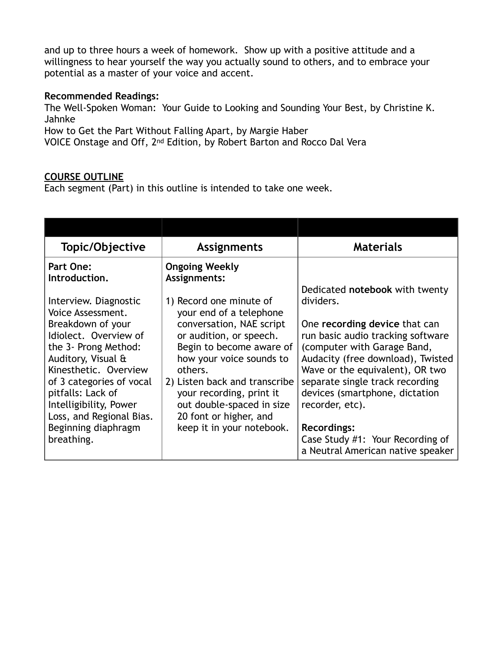and up to three hours a week of homework. Show up with a positive attitude and a willingness to hear yourself the way you actually sound to others, and to embrace your potential as a master of your voice and accent.

#### **Recommended Readings:**

The Well-Spoken Woman: Your Guide to Looking and Sounding Your Best, by Christine K. Jahnke

How to Get the Part Without Falling Apart, by Margie Haber

VOICE Onstage and Off, 2nd Edition, by Robert Barton and Rocco Dal Vera

#### **COURSE OUTLINE**

Each segment (Part) in this outline is intended to take one week.

| Topic/Objective                                                                                                                                                                                                                               | <b>Assignments</b>                                                                                                                                                                                                                                                    | <b>Materials</b>                                                                                                                                                                                                                                                  |
|-----------------------------------------------------------------------------------------------------------------------------------------------------------------------------------------------------------------------------------------------|-----------------------------------------------------------------------------------------------------------------------------------------------------------------------------------------------------------------------------------------------------------------------|-------------------------------------------------------------------------------------------------------------------------------------------------------------------------------------------------------------------------------------------------------------------|
| <b>Part One:</b><br>Introduction.<br>Interview. Diagnostic                                                                                                                                                                                    | <b>Ongoing Weekly</b><br>Assignments:<br>1) Record one minute of                                                                                                                                                                                                      | Dedicated notebook with twenty<br>dividers.                                                                                                                                                                                                                       |
| Voice Assessment.<br>Breakdown of your<br>Idiolect. Overview of<br>the 3- Prong Method:<br>Auditory, Visual &<br>Kinesthetic. Overview<br>of 3 categories of vocal<br>pitfalls: Lack of<br>Intelligibility, Power<br>Loss, and Regional Bias. | your end of a telephone<br>conversation, NAE script<br>or audition, or speech.<br>Begin to become aware of<br>how your voice sounds to<br>others.<br>2) Listen back and transcribe<br>your recording, print it<br>out double-spaced in size<br>20 font or higher, and | One recording device that can<br>run basic audio tracking software<br>(computer with Garage Band,<br>Audacity (free download), Twisted<br>Wave or the equivalent), OR two<br>separate single track recording<br>devices (smartphone, dictation<br>recorder, etc). |
| Beginning diaphragm<br>breathing.                                                                                                                                                                                                             | keep it in your notebook.                                                                                                                                                                                                                                             | <b>Recordings:</b><br>Case Study #1: Your Recording of<br>a Neutral American native speaker                                                                                                                                                                       |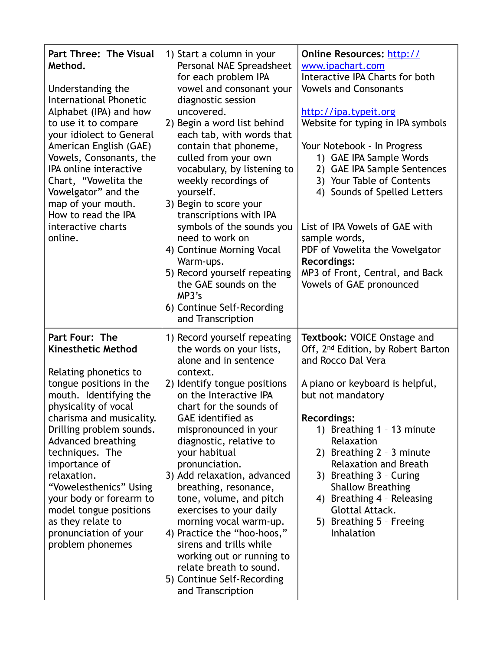| <b>Part Three: The Visual</b><br>Method.<br>Understanding the<br><b>International Phonetic</b><br>Alphabet (IPA) and how<br>to use it to compare<br>your idiolect to General<br>American English (GAE)<br>Vowels, Consonants, the<br>IPA online interactive<br>Chart, "Vowelita the<br>Vowelgator" and the<br>map of your mouth.<br>How to read the IPA<br>interactive charts<br>online.                                            | 1) Start a column in your<br>Personal NAE Spreadsheet<br>for each problem IPA<br>vowel and consonant your<br>diagnostic session<br>uncovered.<br>2) Begin a word list behind<br>each tab, with words that<br>contain that phoneme,<br>culled from your own<br>vocabulary, by listening to<br>weekly recordings of<br>yourself.<br>3) Begin to score your<br>transcriptions with IPA<br>symbols of the sounds you<br>need to work on<br>4) Continue Morning Vocal<br>Warm-ups.<br>5) Record yourself repeating<br>the GAE sounds on the<br>MP3's<br>6) Continue Self-Recording<br>and Transcription                 | Online Resources: http://<br>www.ipachart.com<br>Interactive IPA Charts for both<br><b>Vowels and Consonants</b><br>http://ipa.typeit.org<br>Website for typing in IPA symbols<br>Your Notebook - In Progress<br>1) GAE IPA Sample Words<br>2) GAE IPA Sample Sentences<br>3) Your Table of Contents<br>4) Sounds of Spelled Letters<br>List of IPA Vowels of GAE with<br>sample words,<br>PDF of Vowelita the Vowelgator<br><b>Recordings:</b><br>MP3 of Front, Central, and Back<br>Vowels of GAE pronounced |
|-------------------------------------------------------------------------------------------------------------------------------------------------------------------------------------------------------------------------------------------------------------------------------------------------------------------------------------------------------------------------------------------------------------------------------------|--------------------------------------------------------------------------------------------------------------------------------------------------------------------------------------------------------------------------------------------------------------------------------------------------------------------------------------------------------------------------------------------------------------------------------------------------------------------------------------------------------------------------------------------------------------------------------------------------------------------|----------------------------------------------------------------------------------------------------------------------------------------------------------------------------------------------------------------------------------------------------------------------------------------------------------------------------------------------------------------------------------------------------------------------------------------------------------------------------------------------------------------|
| Part Four: The<br><b>Kinesthetic Method</b><br>Relating phonetics to<br>tongue positions in the<br>mouth. Identifying the<br>physicality of vocal<br>charisma and musicality.<br>Drilling problem sounds.<br>Advanced breathing<br>techniques. The<br>importance of<br>relaxation.<br>"Vowelesthenics" Using<br>your body or forearm to<br>model tongue positions<br>as they relate to<br>pronunciation of your<br>problem phonemes | 1) Record yourself repeating<br>the words on your lists,<br>alone and in sentence<br>context.<br>2) Identify tongue positions<br>on the Interactive IPA<br>chart for the sounds of<br><b>GAE</b> identified as<br>mispronounced in your<br>diagnostic, relative to<br>your habitual<br>pronunciation.<br>3) Add relaxation, advanced<br>breathing, resonance,<br>tone, volume, and pitch<br>exercises to your daily<br>morning vocal warm-up.<br>4) Practice the "hoo-hoos,"<br>sirens and trills while<br>working out or running to<br>relate breath to sound.<br>5) Continue Self-Recording<br>and Transcription | Textbook: VOICE Onstage and<br>Off, 2 <sup>nd</sup> Edition, by Robert Barton<br>and Rocco Dal Vera<br>A piano or keyboard is helpful,<br>but not mandatory<br><b>Recordings:</b><br>1) Breathing 1 - 13 minute<br>Relaxation<br>2) Breathing 2 - 3 minute<br><b>Relaxation and Breath</b><br>3) Breathing 3 - Curing<br><b>Shallow Breathing</b><br>4) Breathing 4 - Releasing<br><b>Glottal Attack.</b><br>5) Breathing 5 - Freeing<br>Inhalation                                                            |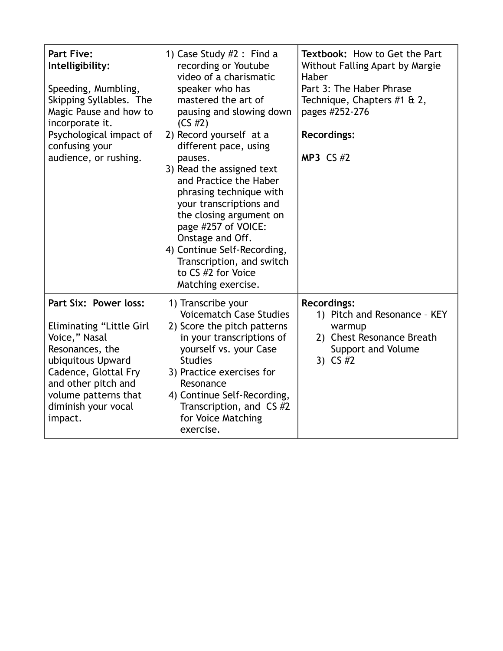| <b>Part Five:</b><br>Intelligibility:<br>Speeding, Mumbling,<br>Skipping Syllables. The<br>Magic Pause and how to<br>incorporate it.<br>Psychological impact of<br>confusing your<br>audience, or rushing.          | 1) Case Study $#2$ : Find a<br>recording or Youtube<br>video of a charismatic<br>speaker who has<br>mastered the art of<br>pausing and slowing down<br>$(CS \#2)$<br>2) Record yourself at a<br>different pace, using<br>pauses.<br>3) Read the assigned text<br>and Practice the Haber<br>phrasing technique with<br>your transcriptions and<br>the closing argument on<br>page #257 of VOICE:<br>Onstage and Off.<br>4) Continue Self-Recording,<br>Transcription, and switch<br>to CS #2 for Voice<br>Matching exercise. | <b>Textbook: How to Get the Part</b><br>Without Falling Apart by Margie<br>Haber<br>Part 3: The Haber Phrase<br>Technique, Chapters #1 & 2,<br>pages #252-276<br><b>Recordings:</b><br><b>MP3 CS #2</b> |
|---------------------------------------------------------------------------------------------------------------------------------------------------------------------------------------------------------------------|-----------------------------------------------------------------------------------------------------------------------------------------------------------------------------------------------------------------------------------------------------------------------------------------------------------------------------------------------------------------------------------------------------------------------------------------------------------------------------------------------------------------------------|---------------------------------------------------------------------------------------------------------------------------------------------------------------------------------------------------------|
| Part Six: Power loss:<br>Eliminating "Little Girl<br>Voice," Nasal<br>Resonances, the<br>ubiquitous Upward<br>Cadence, Glottal Fry<br>and other pitch and<br>volume patterns that<br>diminish your vocal<br>impact. | 1) Transcribe your<br><b>Voicematch Case Studies</b><br>2) Score the pitch patterns<br>in your transcriptions of<br>yourself vs. your Case<br><b>Studies</b><br>3) Practice exercises for<br>Resonance<br>4) Continue Self-Recording,<br>Transcription, and CS #2<br>for Voice Matching<br>exercise.                                                                                                                                                                                                                        | <b>Recordings:</b><br>1) Pitch and Resonance - KEY<br>warmup<br>2) Chest Resonance Breath<br>Support and Volume<br>3) CS #2                                                                             |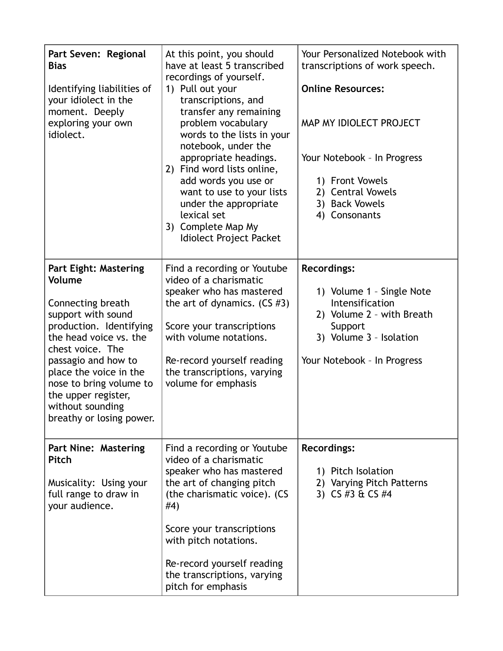| Part Seven: Regional<br><b>Bias</b><br>Identifying liabilities of<br>your idiolect in the<br>moment. Deeply<br>exploring your own<br>idiolect.                                                                                                                                                                | At this point, you should<br>have at least 5 transcribed<br>recordings of yourself.<br>1) Pull out your<br>transcriptions, and<br>transfer any remaining<br>problem vocabulary<br>words to the lists in your<br>notebook, under the<br>appropriate headings.<br>2) Find word lists online,<br>add words you use or<br>want to use to your lists<br>under the appropriate<br>lexical set<br>3) Complete Map My<br>Idiolect Project Packet | Your Personalized Notebook with<br>transcriptions of work speech.<br><b>Online Resources:</b><br>MAP MY IDIOLECT PROJECT<br>Your Notebook - In Progress<br>1) Front Vowels<br>2) Central Vowels<br>3) Back Vowels<br>4) Consonants |
|---------------------------------------------------------------------------------------------------------------------------------------------------------------------------------------------------------------------------------------------------------------------------------------------------------------|------------------------------------------------------------------------------------------------------------------------------------------------------------------------------------------------------------------------------------------------------------------------------------------------------------------------------------------------------------------------------------------------------------------------------------------|------------------------------------------------------------------------------------------------------------------------------------------------------------------------------------------------------------------------------------|
| <b>Part Eight: Mastering</b><br>Volume<br>Connecting breath<br>support with sound<br>production. Identifying<br>the head voice vs. the<br>chest voice. The<br>passagio and how to<br>place the voice in the<br>nose to bring volume to<br>the upper register,<br>without sounding<br>breathy or losing power. | Find a recording or Youtube<br>video of a charismatic<br>speaker who has mastered<br>the art of dynamics. $(CS \#3)$<br>Score your transcriptions<br>with volume notations.<br>Re-record yourself reading<br>the transcriptions, varying<br>volume for emphasis                                                                                                                                                                          | <b>Recordings:</b><br>1) Volume 1 - Single Note<br>Intensification<br>2) Volume 2 - with Breath<br>Support<br>3) Volume 3 - Isolation<br>Your Notebook - In Progress                                                               |
| <b>Part Nine: Mastering</b><br>Pitch<br>Musicality: Using your<br>full range to draw in<br>your audience.                                                                                                                                                                                                     | Find a recording or Youtube<br>video of a charismatic<br>speaker who has mastered<br>the art of changing pitch<br>(the charismatic voice). (CS<br>#4)<br>Score your transcriptions<br>with pitch notations.<br>Re-record yourself reading<br>the transcriptions, varying<br>pitch for emphasis                                                                                                                                           | <b>Recordings:</b><br>1) Pitch Isolation<br>2) Varying Pitch Patterns<br>3) CS #3 & CS #4                                                                                                                                          |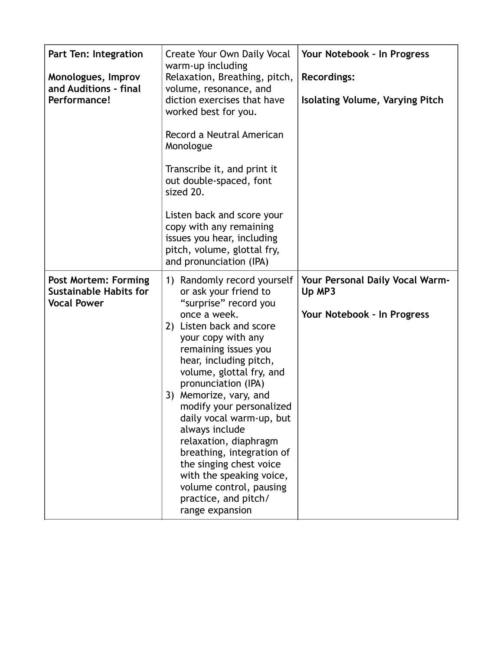| Part Ten: Integration<br>Monologues, Improv<br>and Auditions - final<br>Performance! | Create Your Own Daily Vocal<br>warm-up including<br>Relaxation, Breathing, pitch,<br>volume, resonance, and<br>diction exercises that have<br>worked best for you.<br>Record a Neutral American<br>Monologue<br>Transcribe it, and print it<br>out double-spaced, font<br>sized 20.<br>Listen back and score your<br>copy with any remaining<br>issues you hear, including<br>pitch, volume, glottal fry,<br>and pronunciation (IPA)                                                                                                        | Your Notebook - In Progress<br><b>Recordings:</b><br><b>Isolating Volume, Varying Pitch</b> |
|--------------------------------------------------------------------------------------|---------------------------------------------------------------------------------------------------------------------------------------------------------------------------------------------------------------------------------------------------------------------------------------------------------------------------------------------------------------------------------------------------------------------------------------------------------------------------------------------------------------------------------------------|---------------------------------------------------------------------------------------------|
| <b>Post Mortem: Forming</b><br><b>Sustainable Habits for</b><br><b>Vocal Power</b>   | 1) Randomly record yourself<br>or ask your friend to<br>"surprise" record you<br>once a week.<br>2) Listen back and score<br>your copy with any<br>remaining issues you<br>hear, including pitch,<br>volume, glottal fry, and<br>pronunciation (IPA)<br>3) Memorize, vary, and<br>modify your personalized<br>daily vocal warm-up, but<br>always include<br>relaxation, diaphragm<br>breathing, integration of<br>the singing chest voice<br>with the speaking voice,<br>volume control, pausing<br>practice, and pitch/<br>range expansion | Your Personal Daily Vocal Warm-<br>Up MP3<br>Your Notebook - In Progress                    |